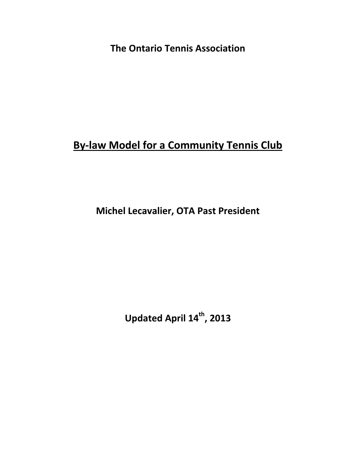**The Ontario Tennis Association**

# **By-law Model for a Community Tennis Club**

**Michel Lecavalier, OTA Past President**

**Updated April 14 th, 2013**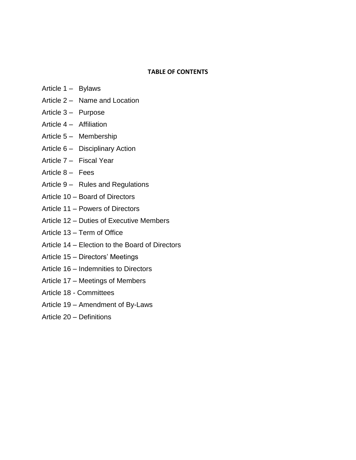#### **TABLE OF CONTENTS**

- Article 1 Bylaws
- Article 2 Name and Location
- Article 3 Purpose
- Article 4 Affiliation
- Article 5 Membership
- Article 6 Disciplinary Action
- Article 7 Fiscal Year
- Article 8 Fees
- Article 9 Rules and Regulations
- Article 10 Board of Directors
- Article 11 Powers of Directors
- Article 12 Duties of Executive Members
- Article 13 Term of Office
- Article 14 Election to the Board of Directors
- Article 15 Directors' Meetings
- Article 16 Indemnities to Directors
- Article 17 Meetings of Members
- Article 18 Committees
- Article 19 Amendment of By-Laws
- Article 20 Definitions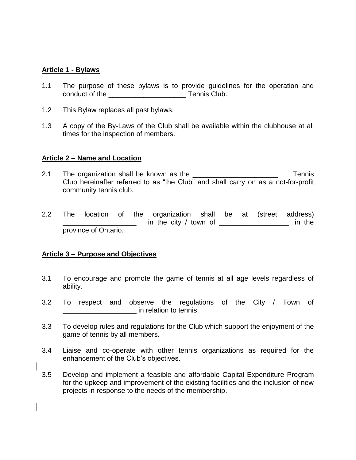#### **Article 1 - Bylaws**

- 1.1 The purpose of these bylaws is to provide guidelines for the operation and conduct of the \_\_\_\_\_\_\_\_\_\_\_\_\_\_\_\_\_\_\_\_ Tennis Club.
- 1.2 This Bylaw replaces all past bylaws.
- 1.3 A copy of the By-Laws of the Club shall be available within the clubhouse at all times for the inspection of members.

#### **Article 2 – Name and Location**

- 2.1 The organization shall be known as the **Example 2.1** Tennis Club hereinafter referred to as "the Club" and shall carry on as a not-for-profit community tennis club.
- 2.2 The location of the organization shall be at (street address) in the city  $/$  town of  $\frac{1}{\sqrt{1-\frac{1}{2}}}\left| \frac{1}{\sqrt{1-\frac{1}{2}}}\right|$  in the province of Ontario.

#### **Article 3 – Purpose and Objectives**

- 3.1 To encourage and promote the game of tennis at all age levels regardless of ability.
- 3.2 To respect and observe the regulations of the City / Town of  $\blacksquare$  in relation to tennis.
- 3.3 To develop rules and regulations for the Club which support the enjoyment of the game of tennis by all members.
- 3.4 Liaise and co-operate with other tennis organizations as required for the enhancement of the Club's objectives.
- 3.5 Develop and implement a feasible and affordable Capital Expenditure Program for the upkeep and improvement of the existing facilities and the inclusion of new projects in response to the needs of the membership.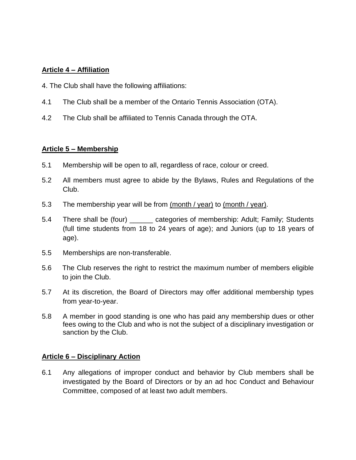## **Article 4 – Affiliation**

- 4. The Club shall have the following affiliations:
- 4.1 The Club shall be a member of the Ontario Tennis Association (OTA).
- 4.2 The Club shall be affiliated to Tennis Canada through the OTA.

#### **Article 5 – Membership**

- 5.1 Membership will be open to all, regardless of race, colour or creed.
- 5.2 All members must agree to abide by the Bylaws, Rules and Regulations of the Club.
- 5.3 The membership year will be from (month / year) to (month / year).
- 5.4 There shall be (four) \_\_\_\_\_\_ categories of membership: Adult; Family; Students (full time students from 18 to 24 years of age); and Juniors (up to 18 years of age).
- 5.5 Memberships are non-transferable.
- 5.6 The Club reserves the right to restrict the maximum number of members eligible to join the Club.
- 5.7 At its discretion, the Board of Directors may offer additional membership types from year-to-year.
- 5.8 A member in good standing is one who has paid any membership dues or other fees owing to the Club and who is not the subject of a disciplinary investigation or sanction by the Club.

#### **Article 6 – Disciplinary Action**

6.1 Any allegations of improper conduct and behavior by Club members shall be investigated by the Board of Directors or by an ad hoc Conduct and Behaviour Committee, composed of at least two adult members.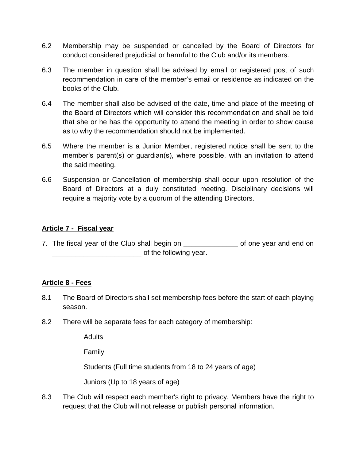- 6.2 Membership may be suspended or cancelled by the Board of Directors for conduct considered prejudicial or harmful to the Club and/or its members.
- 6.3 The member in question shall be advised by email or registered post of such recommendation in care of the member's email or residence as indicated on the books of the Club.
- 6.4 The member shall also be advised of the date, time and place of the meeting of the Board of Directors which will consider this recommendation and shall be told that she or he has the opportunity to attend the meeting in order to show cause as to why the recommendation should not be implemented.
- 6.5 Where the member is a Junior Member, registered notice shall be sent to the member's parent(s) or guardian(s), where possible, with an invitation to attend the said meeting.
- 6.6 Suspension or Cancellation of membership shall occur upon resolution of the Board of Directors at a duly constituted meeting. Disciplinary decisions will require a majority vote by a quorum of the attending Directors.

### **Article 7 - Fiscal year**

7. The fiscal year of the Club shall begin on The State of one year and end on of the following year.

## **Article 8 - Fees**

- 8.1 The Board of Directors shall set membership fees before the start of each playing season.
- 8.2 There will be separate fees for each category of membership:

**Adults** 

Family

Students (Full time students from 18 to 24 years of age)

Juniors (Up to 18 years of age)

8.3 The Club will respect each member's right to privacy. Members have the right to request that the Club will not release or publish personal information.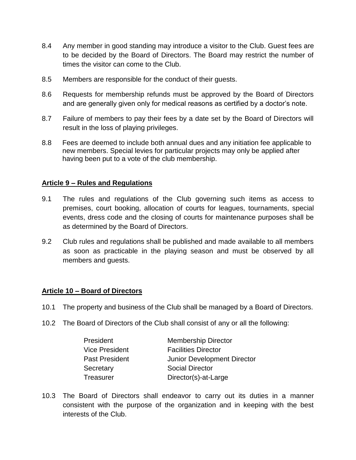- 8.4 Any member in good standing may introduce a visitor to the Club. Guest fees are to be decided by the Board of Directors. The Board may restrict the number of times the visitor can come to the Club.
- 8.5 Members are responsible for the conduct of their guests.
- 8.6 Requests for membership refunds must be approved by the Board of Directors and are generally given only for medical reasons as certified by a doctor's note.
- 8.7 Failure of members to pay their fees by a date set by the Board of Directors will result in the loss of playing privileges.
- 8.8 Fees are deemed to include both annual dues and any initiation fee applicable to new members. Special levies for particular projects may only be applied after having been put to a vote of the club membership.

## **Article 9 – Rules and Regulations**

- 9.1 The rules and regulations of the Club governing such items as access to premises, court booking, allocation of courts for leagues, tournaments, special events, dress code and the closing of courts for maintenance purposes shall be as determined by the Board of Directors.
- 9.2 Club rules and regulations shall be published and made available to all members as soon as practicable in the playing season and must be observed by all members and guests.

#### **Article 10 – Board of Directors**

- 10.1 The property and business of the Club shall be managed by a Board of Directors.
- 10.2 The Board of Directors of the Club shall consist of any or all the following:

| President             | <b>Membership Director</b>         |
|-----------------------|------------------------------------|
| <b>Vice President</b> | <b>Facilities Director</b>         |
| <b>Past President</b> | <b>Junior Development Director</b> |
| Secretary             | <b>Social Director</b>             |
| Treasurer             | Director(s)-at-Large               |

10.3 The Board of Directors shall endeavor to carry out its duties in a manner consistent with the purpose of the organization and in keeping with the best interests of the Club.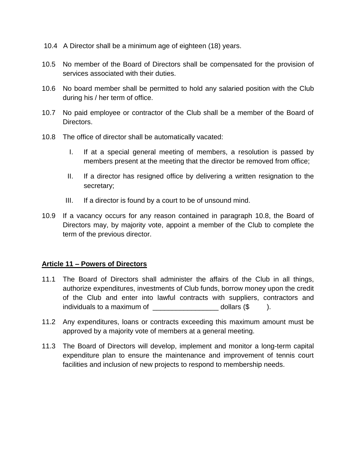- 10.4 A Director shall be a minimum age of eighteen (18) years.
- 10.5 No member of the Board of Directors shall be compensated for the provision of services associated with their duties.
- 10.6 No board member shall be permitted to hold any salaried position with the Club during his / her term of office.
- 10.7 No paid employee or contractor of the Club shall be a member of the Board of Directors.
- 10.8 The office of director shall be automatically vacated:
	- I. If at a special general meeting of members, a resolution is passed by members present at the meeting that the director be removed from office;
	- II. If a director has resigned office by delivering a written resignation to the secretary;
	- III. If a director is found by a court to be of unsound mind.
- 10.9 If a vacancy occurs for any reason contained in paragraph 10.8, the Board of Directors may, by majority vote, appoint a member of the Club to complete the term of the previous director.

## **Article 11 – Powers of Directors**

- 11.1 The Board of Directors shall administer the affairs of the Club in all things, authorize expenditures, investments of Club funds, borrow money upon the credit of the Club and enter into lawful contracts with suppliers, contractors and individuals to a maximum of  $\Box$  dollars ( $\$\hspace{0.5cm}$ ).
- 11.2 Any expenditures, loans or contracts exceeding this maximum amount must be approved by a majority vote of members at a general meeting.
- 11.3 The Board of Directors will develop, implement and monitor a long-term capital expenditure plan to ensure the maintenance and improvement of tennis court facilities and inclusion of new projects to respond to membership needs.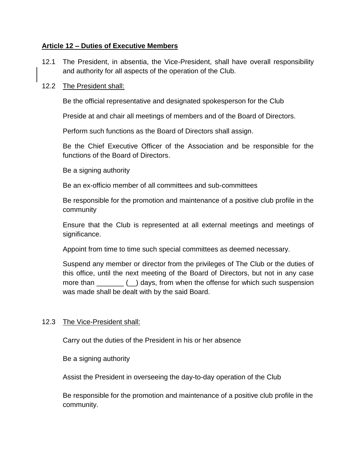## **Article 12 – Duties of Executive Members**

12.1 The President, in absentia, the Vice-President, shall have overall responsibility and authority for all aspects of the operation of the Club.

#### 12.2 The President shall:

Be the official representative and designated spokesperson for the Club

Preside at and chair all meetings of members and of the Board of Directors.

Perform such functions as the Board of Directors shall assign.

Be the Chief Executive Officer of the Association and be responsible for the functions of the Board of Directors.

Be a signing authority

Be an ex-officio member of all committees and sub-committees

Be responsible for the promotion and maintenance of a positive club profile in the community

Ensure that the Club is represented at all external meetings and meetings of significance.

Appoint from time to time such special committees as deemed necessary.

Suspend any member or director from the privileges of The Club or the duties of this office, until the next meeting of the Board of Directors, but not in any case more than  $($  ) days, from when the offense for which such suspension was made shall be dealt with by the said Board.

#### 12.3 The Vice-President shall:

Carry out the duties of the President in his or her absence

Be a signing authority

Assist the President in overseeing the day-to-day operation of the Club

Be responsible for the promotion and maintenance of a positive club profile in the community.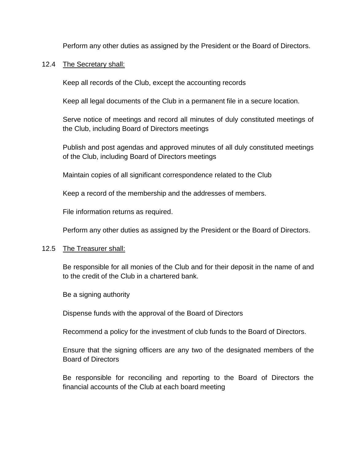Perform any other duties as assigned by the President or the Board of Directors.

#### 12.4 The Secretary shall:

Keep all records of the Club, except the accounting records

Keep all legal documents of the Club in a permanent file in a secure location.

Serve notice of meetings and record all minutes of duly constituted meetings of the Club, including Board of Directors meetings

Publish and post agendas and approved minutes of all duly constituted meetings of the Club, including Board of Directors meetings

Maintain copies of all significant correspondence related to the Club

Keep a record of the membership and the addresses of members.

File information returns as required.

Perform any other duties as assigned by the President or the Board of Directors.

#### 12.5 The Treasurer shall:

Be responsible for all monies of the Club and for their deposit in the name of and to the credit of the Club in a chartered bank.

Be a signing authority

Dispense funds with the approval of the Board of Directors

Recommend a policy for the investment of club funds to the Board of Directors.

Ensure that the signing officers are any two of the designated members of the Board of Directors

Be responsible for reconciling and reporting to the Board of Directors the financial accounts of the Club at each board meeting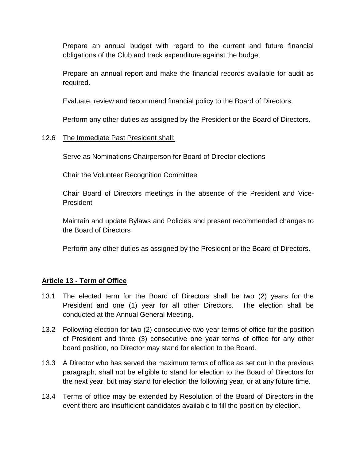Prepare an annual budget with regard to the current and future financial obligations of the Club and track expenditure against the budget

Prepare an annual report and make the financial records available for audit as required.

Evaluate, review and recommend financial policy to the Board of Directors.

Perform any other duties as assigned by the President or the Board of Directors.

## 12.6 The Immediate Past President shall:

Serve as Nominations Chairperson for Board of Director elections

Chair the Volunteer Recognition Committee

Chair Board of Directors meetings in the absence of the President and Vice-President

Maintain and update Bylaws and Policies and present recommended changes to the Board of Directors

Perform any other duties as assigned by the President or the Board of Directors.

#### **Article 13 - Term of Office**

- 13.1 The elected term for the Board of Directors shall be two (2) years for the President and one (1) year for all other Directors. The election shall be conducted at the Annual General Meeting.
- 13.2 Following election for two (2) consecutive two year terms of office for the position of President and three (3) consecutive one year terms of office for any other board position, no Director may stand for election to the Board.
- 13.3 A Director who has served the maximum terms of office as set out in the previous paragraph, shall not be eligible to stand for election to the Board of Directors for the next year, but may stand for election the following year, or at any future time.
- 13.4 Terms of office may be extended by Resolution of the Board of Directors in the event there are insufficient candidates available to fill the position by election.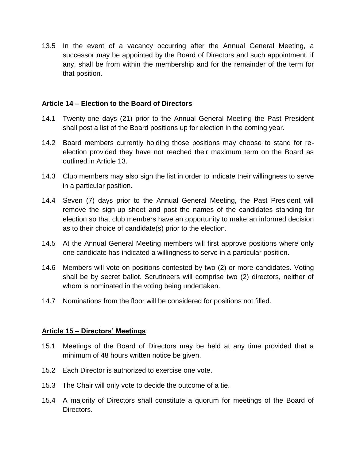13.5 In the event of a vacancy occurring after the Annual General Meeting, a successor may be appointed by the Board of Directors and such appointment, if any, shall be from within the membership and for the remainder of the term for that position.

#### **Article 14 – Election to the Board of Directors**

- 14.1 Twenty-one days (21) prior to the Annual General Meeting the Past President shall post a list of the Board positions up for election in the coming year.
- 14.2 Board members currently holding those positions may choose to stand for reelection provided they have not reached their maximum term on the Board as outlined in Article 13.
- 14.3 Club members may also sign the list in order to indicate their willingness to serve in a particular position.
- 14.4 Seven (7) days prior to the Annual General Meeting, the Past President will remove the sign-up sheet and post the names of the candidates standing for election so that club members have an opportunity to make an informed decision as to their choice of candidate(s) prior to the election.
- 14.5 At the Annual General Meeting members will first approve positions where only one candidate has indicated a willingness to serve in a particular position.
- 14.6 Members will vote on positions contested by two (2) or more candidates. Voting shall be by secret ballot. Scrutineers will comprise two (2) directors, neither of whom is nominated in the voting being undertaken.
- 14.7 Nominations from the floor will be considered for positions not filled.

#### **Article 15 – Directors' Meetings**

- 15.1 Meetings of the Board of Directors may be held at any time provided that a minimum of 48 hours written notice be given.
- 15.2 Each Director is authorized to exercise one vote.
- 15.3 The Chair will only vote to decide the outcome of a tie.
- 15.4 A majority of Directors shall constitute a quorum for meetings of the Board of Directors.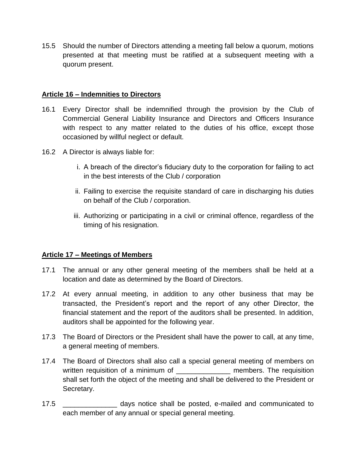15.5 Should the number of Directors attending a meeting fall below a quorum, motions presented at that meeting must be ratified at a subsequent meeting with a quorum present.

### **Article 16 – Indemnities to Directors**

- 16.1 Every Director shall be indemnified through the provision by the Club of Commercial General Liability Insurance and Directors and Officers Insurance with respect to any matter related to the duties of his office, except those occasioned by willful neglect or default.
- 16.2 A Director is always liable for:
	- i. A breach of the director's fiduciary duty to the corporation for failing to act in the best interests of the Club / corporation
	- ii. Failing to exercise the requisite standard of care in discharging his duties on behalf of the Club / corporation.
	- iii. Authorizing or participating in a civil or criminal offence, regardless of the timing of his resignation.

## **Article 17 – Meetings of Members**

- 17.1 The annual or any other general meeting of the members shall be held at a location and date as determined by the Board of Directors.
- 17.2 At every annual meeting, in addition to any other business that may be transacted, the President's report and the report of any other Director, the financial statement and the report of the auditors shall be presented. In addition, auditors shall be appointed for the following year.
- 17.3 The Board of Directors or the President shall have the power to call, at any time, a general meeting of members.
- 17.4 The Board of Directors shall also call a special general meeting of members on written requisition of a minimum of \_\_\_\_\_\_\_\_\_\_\_\_\_\_\_\_\_\_\_ members. The requisition shall set forth the object of the meeting and shall be delivered to the President or Secretary.
- 17.5 \_\_\_\_\_\_\_\_\_\_\_\_\_\_ days notice shall be posted, e-mailed and communicated to each member of any annual or special general meeting.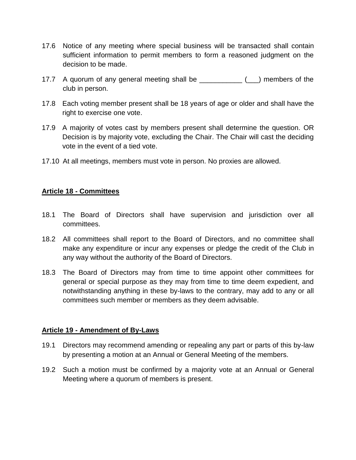- 17.6 Notice of any meeting where special business will be transacted shall contain sufficient information to permit members to form a reasoned judgment on the decision to be made.
- 17.7 A quorum of any general meeting shall be \_\_\_\_\_\_\_\_\_\_\_ (\_\_\_) members of the club in person.
- 17.8 Each voting member present shall be 18 years of age or older and shall have the right to exercise one vote.
- 17.9 A majority of votes cast by members present shall determine the question. OR Decision is by majority vote, excluding the Chair. The Chair will cast the deciding vote in the event of a tied vote.
- 17.10 At all meetings, members must vote in person. No proxies are allowed.

#### **Article 18 - Committees**

- 18.1 The Board of Directors shall have supervision and jurisdiction over all committees.
- 18.2 All committees shall report to the Board of Directors, and no committee shall make any expenditure or incur any expenses or pledge the credit of the Club in any way without the authority of the Board of Directors.
- 18.3 The Board of Directors may from time to time appoint other committees for general or special purpose as they may from time to time deem expedient, and notwithstanding anything in these by-laws to the contrary, may add to any or all committees such member or members as they deem advisable.

#### **Article 19 - Amendment of By-Laws**

- 19.1 Directors may recommend amending or repealing any part or parts of this by-law by presenting a motion at an Annual or General Meeting of the members.
- 19.2 Such a motion must be confirmed by a majority vote at an Annual or General Meeting where a quorum of members is present.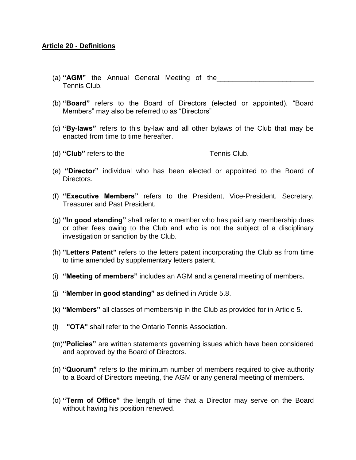#### **Article 20 - Definitions**

- (a) "**AGM**" the Annual General Meeting of the Tennis Club.
- (b) **"Board"** refers to the Board of Directors (elected or appointed). "Board Members" may also be referred to as "Directors"
- (c) **"By-laws"** refers to this by-law and all other bylaws of the Club that may be enacted from time to time hereafter.
- (d) "Club" refers to the Tennis Club.
- (e) **"Director"** individual who has been elected or appointed to the Board of Directors.
- (f) **"Executive Members"** refers to the President, Vice-President, Secretary, Treasurer and Past President.
- (g) **"In good standing"** shall refer to a member who has paid any membership dues or other fees owing to the Club and who is not the subject of a disciplinary investigation or sanction by the Club.
- (h) **"Letters Patent"** refers to the letters patent incorporating the Club as from time to time amended by supplementary letters patent.
- (i) **"Meeting of members"** includes an AGM and a general meeting of members.
- (j) **"Member in good standing"** as defined in Article 5.8.
- (k) **"Members"** all classes of membership in the Club as provided for in Article 5.
- (l) **"OTA"** shall refer to the Ontario Tennis Association.
- (m)**"Policies"** are written statements governing issues which have been considered and approved by the Board of Directors.
- (n) **"Quorum"** refers to the minimum number of members required to give authority to a Board of Directors meeting, the AGM or any general meeting of members.
- (o) **"Term of Office"** the length of time that a Director may serve on the Board without having his position renewed.